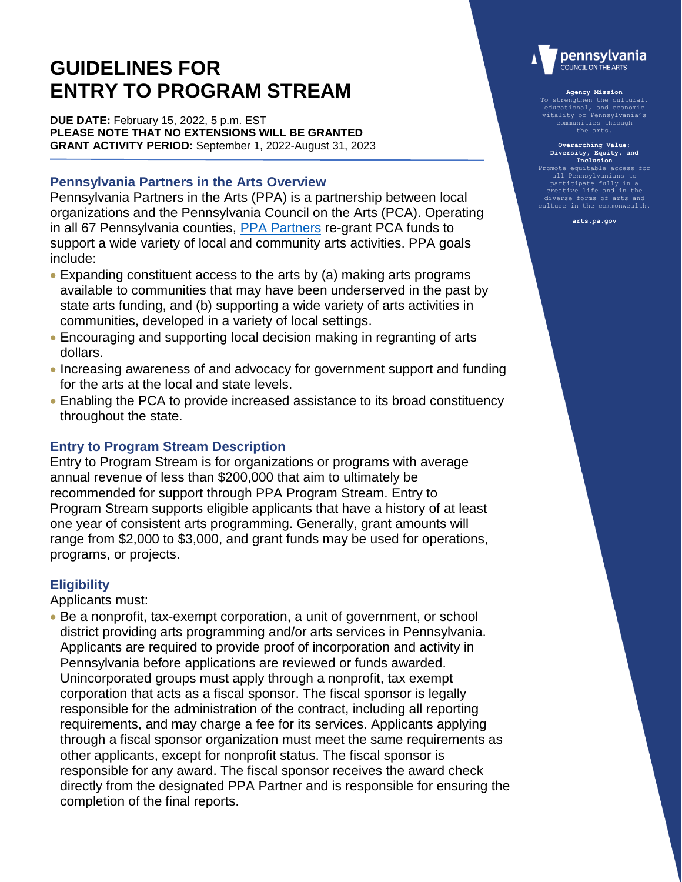# **GUIDELINES FOR ENTRY TO PROGRAM STREAM**

**DUE DATE:** February 15, 2022, 5 p.m. EST **PLEASE NOTE THAT NO EXTENSIONS WILL BE GRANTED GRANT ACTIVITY PERIOD:** September 1, 2022-August 31, 2023

## **Pennsylvania Partners in the Arts Overview**

Pennsylvania Partners in the Arts (PPA) is a partnership between local organizations and the Pennsylvania Council on the Arts (PCA). Operating in all 67 Pennsylvania counties, [PPA Partners](https://www.arts.pa.gov/Documents/2021-2022_PCA_PPA_Partnership_Info.pdf) re-grant PCA funds to support a wide variety of local and community arts activities. PPA goals include:

- Expanding constituent access to the arts by (a) making arts programs available to communities that may have been underserved in the past by state arts funding, and (b) supporting a wide variety of arts activities in communities, developed in a variety of local settings.
- Encouraging and supporting local decision making in regranting of arts dollars.
- Increasing awareness of and advocacy for government support and funding for the arts at the local and state levels.
- Enabling the PCA to provide increased assistance to its broad constituency throughout the state.

# **Entry to Program Stream Description**

Entry to Program Stream is for organizations or programs with average annual revenue of less than \$200,000 that aim to ultimately be recommended for support through PPA Program Stream. Entry to Program Stream supports eligible applicants that have a history of at least one year of consistent arts programming. Generally, grant amounts will range from \$2,000 to \$3,000, and grant funds may be used for operations, programs, or projects.

# **Eligibility**

Applicants must:

 Be a nonprofit, tax-exempt corporation, a unit of government, or school district providing arts programming and/or arts services in Pennsylvania. Applicants are required to provide proof of incorporation and activity in Pennsylvania before applications are reviewed or funds awarded. Unincorporated groups must apply through a nonprofit, tax exempt corporation that acts as a fiscal sponsor. The fiscal sponsor is legally responsible for the administration of the contract, including all reporting requirements, and may charge a fee for its services. Applicants applying through a fiscal sponsor organization must meet the same requirements as other applicants, except for nonprofit status. The fiscal sponsor is responsible for any award. The fiscal sponsor receives the award check directly from the designated PPA Partner and is responsible for ensuring the completion of the final reports.



#### **Agency Mission**

To strengthen the cultural, educational, and economic vitality of Pennsylvania's communities through the arts.

# **Overarching Value: Diversity, Equity, and Inclusion** Promote equitable access for

all Pennsylvanians t participate fully in a creative life and in the diverse forms of arts and culture in the commonwealth.

**arts.pa.gov**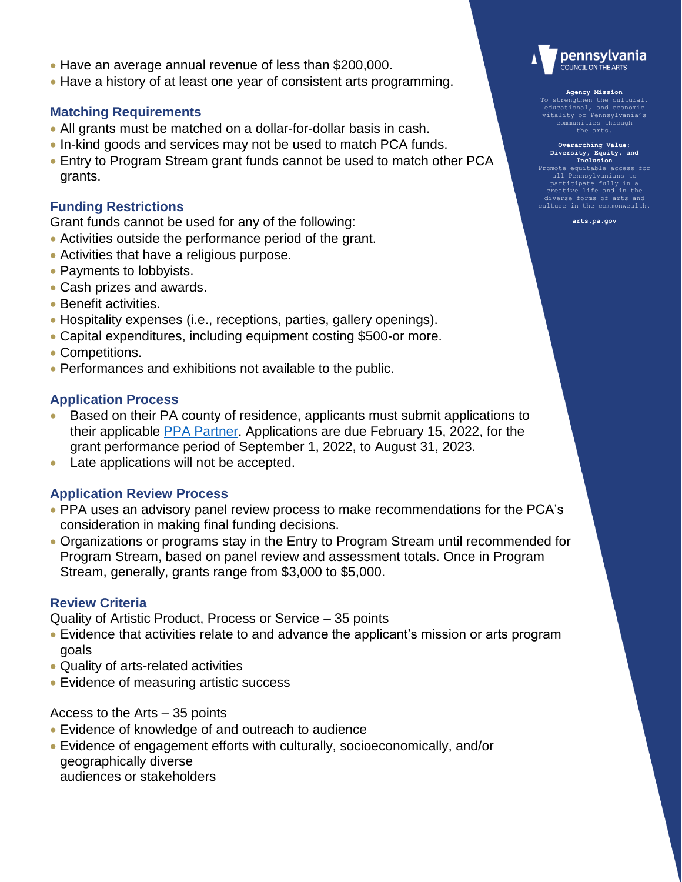- Have an average annual revenue of less than \$200,000.
- Have a history of at least one year of consistent arts programming.

#### **Matching Requirements**

- All grants must be matched on a dollar-for-dollar basis in cash.
- In-kind goods and services may not be used to match PCA funds.
- Entry to Program Stream grant funds cannot be used to match other PCA grants.

#### **Funding Restrictions**

Grant funds cannot be used for any of the following:

- Activities outside the performance period of the grant.
- Activities that have a religious purpose.
- Payments to lobbyists.
- Cash prizes and awards.
- Benefit activities.
- Hospitality expenses (i.e., receptions, parties, gallery openings).
- Capital expenditures, including equipment costing \$500-or more.
- Competitions.
- Performances and exhibitions not available to the public.

#### **Application Process**

- Based on their PA county of residence, applicants must submit applications to their applicable [PPA Partner.](https://www.arts.pa.gov/Documents/2021-2022_PCA_PPA_Partnership_Info.pdf) Applications are due February 15, 2022, for the grant performance period of September 1, 2022, to August 31, 2023.
- Late applications will not be accepted.

## **Application Review Process**

- PPA uses an advisory panel review process to make recommendations for the PCA's consideration in making final funding decisions.
- Organizations or programs stay in the Entry to Program Stream until recommended for Program Stream, based on panel review and assessment totals. Once in Program Stream, generally, grants range from \$3,000 to \$5,000.

#### **Review Criteria**

Quality of Artistic Product, Process or Service – 35 points

- Evidence that activities relate to and advance the applicant's mission or arts program goals
- Quality of arts-related activities
- Evidence of measuring artistic success

Access to the Arts – 35 points

- Evidence of knowledge of and outreach to audience
- Evidence of engagement efforts with culturally, socioeconomically, and/or geographically diverse audiences or stakeholders



#### **Agency Mission**

To strengthen the cultural, educational, and economic vitality of Pennsylvania's communities through the arts.

**Overarching Value: Diversity, Equity, and Inclusion**

Promote equitable access for all Pennsylvanians participate fully in a creative life and in the diverse forms of arts and culture in the commonwealth.

**arts.pa.gov**